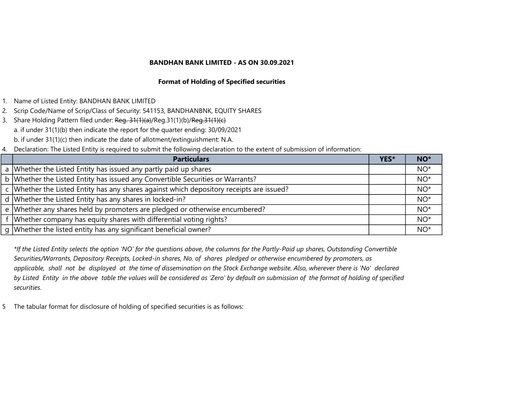## Format of Holding of Specified securities

- 1. Name of Listed Entity: BANDHAN BANK LIMITED
- 2. Scrip Code/Name of Scrip/Class of Security: 541153, BANDHANBNK, EQUITY SHARES
- 3. Share Holding Pattern filed under: Reg. 31(1)(a)/Reg.31(1)(b)/Reg.31(1)(c) a. if under 31(1)(b) then indicate the report for the quarter ending: 30/09/2021 b. if under 31(1)(c) then indicate the date of allotment/extinguishment: N.A.
- 4. Declaration: The Listed Entity is required to submit the following declaration to the extent of submission of information:

| <b>Particulars</b>                                                                         | YES* | NO <sup>*</sup> |
|--------------------------------------------------------------------------------------------|------|-----------------|
| a Whether the Listed Entity has issued any partly paid up shares                           |      | $NO*$           |
| b   Whether the Listed Entity has issued any Convertible Securities or Warrants?           |      | $NO*$           |
| c   Whether the Listed Entity has any shares against which depository receipts are issued? |      | $NO*$           |
| d Whether the Listed Entity has any shares in locked-in?                                   |      | $NO^*$          |
| e   Whether any shares held by promoters are pledged or otherwise encumbered?              |      | $NO*$           |
| f Whether company has equity shares with differential voting rights?                       |      | $NO*$           |
| g Whether the listed entity has any significant beneficial owner?                          |      | $NO*$           |

\*If the Listed Entity selects the option 'NO' for the questions above, the columns for the Partly-Paid up shares, Outstanding Convertible Securities/Warrants, Depository Receipts, Locked-in shares, No. of shares pledged or otherwise encumbered by promoters, as applicable, shall not be displayed at the time of dissemination on the Stock Exchange website. Also, wherever there is 'No' declared by Listed Entity in the above table the values will be considered as 'Zero' by default on submission of the format of holding of specified securities.

5 The tabular format for disclosure of holding of specified securities is as follows: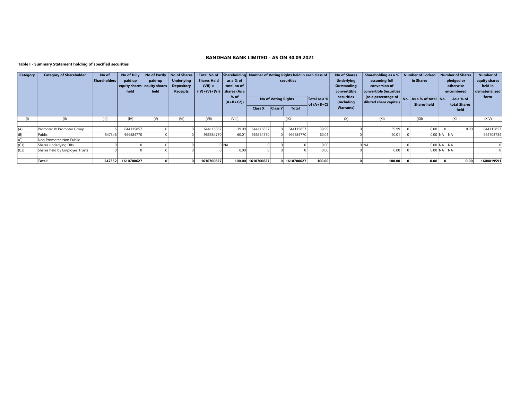#### Table I - Summary Statement holding of specified securities

| <b>Category</b> | <b>Category of Shareholder</b> | No of               | No of fully |                             | No of Partly   No of Shares |                               |             | Total No of Shareholding Number of Voting Rights held in each class of |                            |              | <b>No of Shares</b> | Shareholding as a %   Number of Locked   Number of Shares |                                             |  |                    |              | <b>Number of</b> |                |
|-----------------|--------------------------------|---------------------|-------------|-----------------------------|-----------------------------|-------------------------------|-------------|------------------------------------------------------------------------|----------------------------|--------------|---------------------|-----------------------------------------------------------|---------------------------------------------|--|--------------------|--------------|------------------|----------------|
|                 |                                | <b>Shareholders</b> | paid up     | paid-up                     | <b>Underlying</b>           | <b>Shares Held</b>            | as a % of   |                                                                        |                            | securities   |                     | <b>Underlying</b>                                         | assuming full                               |  | in Shares          |              | pledged or       | equity shares  |
|                 |                                |                     |             | equity shares equity shares | <b>Depository</b>           | $(VII) =$                     | total no of |                                                                        |                            |              |                     | Outstanding                                               | conversion of                               |  |                    |              | otherwise        | held in        |
|                 |                                |                     | held        | held                        | <b>Receipts</b>             | $(IV)+(V)+(V)$   shares (As a |             |                                                                        |                            |              |                     | converttible                                              | convertible Securities                      |  |                    | encumbered   |                  | dematerialized |
|                 |                                |                     |             |                             |                             |                               | $%$ of      |                                                                        | <b>No of Voting Rights</b> |              | Total as a %        | securities                                                | (as a percentage of No. As a % of total No. |  |                    |              | As a % of        | form           |
|                 |                                |                     |             |                             |                             |                               | $(A+B+C2)$  |                                                                        |                            |              | of $(A+B+C)$        | (Including                                                | diluted share capital)                      |  | <b>Shares held</b> |              | total Shares     |                |
|                 |                                |                     |             |                             |                             |                               |             | <b>Class X</b>                                                         | <b>Class Y</b>             | <b>Total</b> |                     | <b>Warrants</b> )                                         |                                             |  |                    |              | held             |                |
|                 |                                |                     |             |                             |                             |                               |             |                                                                        |                            |              |                     |                                                           |                                             |  |                    |              |                  |                |
|                 | (II)                           | (III)               | (IV)        | (V)                         | (VI)                        | (VII)                         | (VIII)      |                                                                        |                            | (IX)         |                     | (X)                                                       | (XI)                                        |  | (XII)              |              | (XIII)           | (XIV)          |
|                 |                                |                     |             |                             |                             |                               |             |                                                                        |                            |              |                     |                                                           |                                             |  |                    |              |                  |                |
| (A)             | Promoter & Promoter Group      |                     | 644115857   |                             |                             | 644115857                     | 39.99       | 644115857                                                              |                            | 644115857    | 39.99               |                                                           | 39.99                                       |  | 0.00               |              | 0.00             | 644115857      |
| (B)             | Public                         | 547346              | 966584770   |                             |                             | 966584770                     | 60.01       | 966584770                                                              |                            | 966584770    | 60.01               |                                                           | 60.01                                       |  |                    | $0.00$ NA NA |                  | 964703734      |
| (C)             | Non Promoter-Non Public        |                     |             |                             |                             |                               |             |                                                                        |                            |              |                     |                                                           |                                             |  |                    |              |                  |                |
| (C1)            | Shares underlying DRs          |                     |             |                             |                             |                               | <b>NA</b>   |                                                                        |                            |              | 0.00                |                                                           | DINA                                        |  |                    | $0.00$ NA NA |                  |                |
| (C2)            | Shares held by Employes Trusts |                     |             |                             |                             |                               | 0.00        |                                                                        |                            |              | 0.00                |                                                           | 0.00                                        |  |                    | $0.00$ NA NA |                  |                |
|                 |                                |                     |             |                             |                             |                               |             |                                                                        |                            |              |                     |                                                           |                                             |  |                    |              |                  |                |
|                 | Total:                         | 547352              | 1610700627  |                             |                             | 1610700627                    |             | 100.00 1610700627                                                      |                            | 0 1610700627 | 100.00              |                                                           | 100.00                                      |  | 0.00               |              | 0.00             | 1608819591     |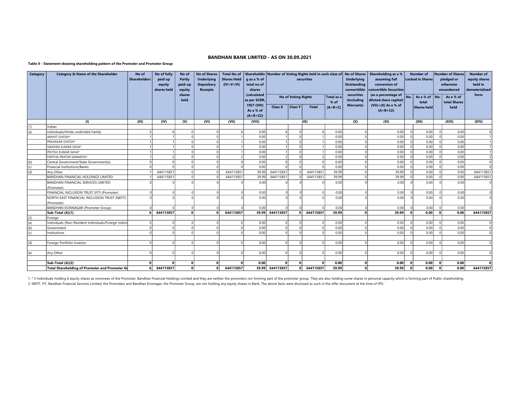#### Table II - Statement showing shareholding pattern of the Promoter and Promoter Group

| <b>Category</b> | <b>Category &amp; Name of the Shareholder</b>         | No of<br><b>Shareholders</b> | No of fully<br>paid up<br>equity<br>shares held | No of<br>Partly<br>paid-up<br>equity | <b>No of Shares</b><br><b>Underlying</b><br><b>Depository</b><br><b>Receipts</b> | <b>Total No of</b><br><b>Shares Held</b><br>$(IV+V+VI)$ | q as a % of<br>total no of<br>shares   |           |                            | securities   |                    | <b>Underlying</b><br><b>Outstanding</b><br>converttible | Shareholdin Number of Voting Rights held in each class of No of Shares Shareholding as a %<br>assuming full<br>conversion of<br>convertible Securities | <b>Number of</b><br><b>Locked in Shares</b> |                    | Number of Shares<br>pledged or<br>otherwise<br>encumbered |                                   | <b>Number of</b><br>equity shares<br>held in<br>dematerialized |
|-----------------|-------------------------------------------------------|------------------------------|-------------------------------------------------|--------------------------------------|----------------------------------------------------------------------------------|---------------------------------------------------------|----------------------------------------|-----------|----------------------------|--------------|--------------------|---------------------------------------------------------|--------------------------------------------------------------------------------------------------------------------------------------------------------|---------------------------------------------|--------------------|-----------------------------------------------------------|-----------------------------------|----------------------------------------------------------------|
|                 |                                                       |                              |                                                 | shares<br>held                       |                                                                                  |                                                         | (calculated<br>as per SCRR,            |           | <b>No of Voting Rights</b> |              | Total as a<br>% of | securities<br>(Including                                | (as a percentage of<br>diluted share capital)                                                                                                          | No.                                         | As a % of<br>total | l No.                                                     | As a % of<br>total Shares<br>held | form                                                           |
|                 |                                                       |                              |                                                 |                                      |                                                                                  |                                                         | 1957 (VIII)<br>As a % of<br>$(A+B+C2)$ | Class X   | <b>Class Y</b>             | <b>Total</b> | $(A+B+C)$          | <b>Warrants)</b>                                        | $(VII)+(X)$ As a % of<br>$(A+B+C2)$                                                                                                                    |                                             | Shares held        |                                                           |                                   |                                                                |
|                 | (1)                                                   | (III)                        | (IV)                                            | (V)                                  | (VI)                                                                             | (VII)                                                   | (VIII)                                 |           |                            | (IX)         |                    | (X)                                                     | (XI)                                                                                                                                                   |                                             | (XII)              |                                                           | (XIII)                            | (XIV)                                                          |
| (1)             | Indian                                                |                              |                                                 |                                      |                                                                                  |                                                         |                                        |           |                            |              |                    |                                                         |                                                                                                                                                        |                                             |                    |                                                           |                                   |                                                                |
| (a)             | Individuals/Hindu undivided Family                    |                              |                                                 | $\Omega$                             | $\Omega$                                                                         |                                                         | 0.00                                   |           |                            |              | 0.00               | $\Omega$                                                | 0.00                                                                                                                                                   |                                             | 0.00               | $\Omega$                                                  | 0.00                              |                                                                |
|                 | <b>ABHIJIT GHOSH*</b>                                 |                              |                                                 | $\Omega$                             | $\Omega$                                                                         |                                                         | 0.00                                   |           |                            |              | 0.00               | $\Omega$                                                | 0.00                                                                                                                                                   |                                             | 0.00               |                                                           | 0.00                              |                                                                |
|                 | PRAVAKAR GHOSH*                                       |                              |                                                 | $\Omega$                             | $\Omega$                                                                         |                                                         | 0.00                                   |           |                            |              | 0.00               | $\Omega$                                                | 0.00                                                                                                                                                   |                                             | 0.00               |                                                           | 0.00                              |                                                                |
|                 | SWAPAN KUMAR SAHA*                                    |                              |                                                 | $\Omega$                             | $\Omega$                                                                         |                                                         | 0.00                                   |           |                            |              | 0.00               | $\Omega$                                                | 0.00                                                                                                                                                   |                                             | 0.00               |                                                           | 0.00                              |                                                                |
|                 | PRITISH KUMAR SAHA*                                   |                              |                                                 | $\Omega$                             | $\Omega$                                                                         |                                                         | 0.00                                   |           |                            |              | 0.00               | $\Omega$                                                | 0.00                                                                                                                                                   |                                             | 0.00               |                                                           | 0.00                              |                                                                |
|                 | PARTHA PRATIM SAMANTA*                                |                              |                                                 | $\Omega$                             | $\Omega$                                                                         |                                                         | 0.00                                   |           |                            |              | 0.00               | nl                                                      | 0.00                                                                                                                                                   |                                             | 0.00               |                                                           | 0.00                              | $\overline{2}$                                                 |
| (b)             | Central Government/State Government(s)                |                              |                                                 | $\Omega$                             | $\Omega$                                                                         |                                                         | 0.00                                   |           |                            |              | 0.00               | n l                                                     | 0.00                                                                                                                                                   |                                             | 0.00               |                                                           | 0.00                              | $\mathbf{0}$                                                   |
| (c)             | Financial Institutions/Banks                          |                              |                                                 | $\Omega$                             | $\mathbf{0}$                                                                     |                                                         | 0.00                                   |           |                            | $\Omega$     | 0.00               | nl                                                      | 0.00                                                                                                                                                   |                                             | 0.00               |                                                           | 0.00                              | $\Omega$                                                       |
| (d)             | Any Other                                             |                              | 644115851                                       | $\Omega$                             | $\Omega$                                                                         | 644115851                                               | 39.99                                  | 644115851 |                            | 644115851    | 39.99              | $\Omega$                                                | 39.99                                                                                                                                                  |                                             | 0.00               |                                                           | 0.00                              | 644115851                                                      |
|                 | BANDHAN FINANCIAL HOLDINGS LIMITED                    |                              | 644115851                                       | $\Omega$                             | $\Omega$                                                                         | 644115851                                               | 39.99                                  | 644115851 |                            | 644115851    | 39.99              | $\Omega$                                                | 39.99                                                                                                                                                  |                                             | 0.00               |                                                           | 0.00                              | 644115851                                                      |
|                 | BANDHAN FINANCIAL SERVICES LIMITED                    |                              |                                                 |                                      |                                                                                  |                                                         | 0.00                                   |           |                            |              | 0.00               |                                                         | 0.00                                                                                                                                                   |                                             | 0.00               |                                                           | 0.00                              |                                                                |
|                 | (Promoter)                                            |                              |                                                 |                                      |                                                                                  |                                                         |                                        |           |                            |              |                    |                                                         |                                                                                                                                                        |                                             |                    |                                                           |                                   |                                                                |
|                 | FINANCIAL INCLUSION TRUST (FIT) (Promoter)            |                              |                                                 | $\sqrt{ }$                           | $\Omega$                                                                         |                                                         | 0.00                                   |           |                            |              | 0.00               |                                                         | 0.00                                                                                                                                                   |                                             | 0.00               |                                                           | 0.00                              |                                                                |
|                 | NORTH EAST FINANCIAL INCLUSION TRUST (NEFIT)          |                              |                                                 |                                      |                                                                                  |                                                         | 0.00                                   |           |                            |              | 0.00               |                                                         | 0.00                                                                                                                                                   |                                             | 0.00               |                                                           | 0.00                              |                                                                |
|                 | (Promoter)                                            |                              |                                                 |                                      |                                                                                  |                                                         |                                        |           |                            |              |                    |                                                         |                                                                                                                                                        |                                             |                    |                                                           |                                   |                                                                |
|                 | <b>BANDHAN KONNAGAR (Promoter Group)</b>              |                              |                                                 | $\Omega$                             | $\Omega$                                                                         |                                                         | 0.00                                   |           |                            |              | 0.00               |                                                         | 0.00                                                                                                                                                   |                                             | 0.00               |                                                           | 0.00                              |                                                                |
|                 | Sub-Total (A)(1)                                      |                              | 644115857                                       | ٥l                                   | $\Omega$                                                                         | 644115857                                               | 39.99                                  | 644115857 |                            | 644115857    | 39.99              | n l                                                     | 39.99                                                                                                                                                  |                                             | 0.00               | $\Omega$                                                  | 0.00                              | 644115857                                                      |
| (2)             | Foreian                                               |                              |                                                 |                                      |                                                                                  |                                                         |                                        |           |                            |              |                    |                                                         |                                                                                                                                                        |                                             |                    |                                                           |                                   |                                                                |
| (a)             | Individuals (Non-Resident Individuals/Foreign Individ |                              |                                                 | $\Omega$                             | $\Omega$                                                                         |                                                         | 0.00                                   | $\Omega$  |                            |              | 0.00               | $\Omega$                                                | 0.00                                                                                                                                                   |                                             | 0.00               |                                                           | 0.00                              | $\mathbf{0}$                                                   |
| (b)             | Government                                            |                              |                                                 | $\Omega$                             | $\Omega$                                                                         |                                                         | 0.00                                   |           |                            |              | 0.00               | $\Omega$                                                | 0.00                                                                                                                                                   |                                             | 0.00               |                                                           | 0.00                              | $\overline{0}$                                                 |
| (c)             | Institutions                                          |                              |                                                 | $\Omega$                             | $\Omega$                                                                         |                                                         | 0.00                                   |           |                            |              | 0.00               | $\Omega$                                                | 0.00                                                                                                                                                   |                                             | 0.00               |                                                           | 0.00                              | $\overline{0}$                                                 |
|                 |                                                       |                              |                                                 |                                      |                                                                                  |                                                         |                                        |           |                            |              |                    |                                                         |                                                                                                                                                        |                                             |                    |                                                           |                                   |                                                                |
| (d)             | Foreign Portfolio Investor                            |                              |                                                 |                                      | $\Omega$                                                                         |                                                         | 0.00                                   |           |                            |              | 0.00               |                                                         | 0.00                                                                                                                                                   |                                             | 0.00               |                                                           | 0.00                              | $\mathbf{0}$                                                   |
|                 |                                                       |                              |                                                 |                                      |                                                                                  |                                                         |                                        |           |                            |              |                    |                                                         |                                                                                                                                                        |                                             |                    |                                                           |                                   |                                                                |
| (e)             | Any Other                                             |                              |                                                 | $\cap$                               | $\Omega$                                                                         |                                                         | 0.00                                   |           |                            | $\cap$       | 0.00               | $\Omega$                                                | 0.00                                                                                                                                                   |                                             | 0.00               |                                                           | 0.00                              | $\Omega$                                                       |
|                 |                                                       |                              |                                                 |                                      |                                                                                  |                                                         |                                        |           |                            |              |                    |                                                         |                                                                                                                                                        |                                             |                    |                                                           |                                   |                                                                |
|                 | Sub-Total (A)(2)                                      | O                            |                                                 | $\Omega$                             | 0                                                                                |                                                         | 0.00                                   | $\Omega$  |                            |              | 0.00               | $\Omega$                                                | 0.00                                                                                                                                                   |                                             | 0.00               | $\Omega$                                                  | 0.00                              | $\Omega$                                                       |
|                 | <b>Total Shareholding of Promoter and Promoter Gr</b> |                              | 644115857                                       | $\Omega$                             | οl                                                                               | 644115857                                               | 39.99                                  | 644115857 | 0                          | 644115857    | 39.99              | $\Omega$                                                | 39.99                                                                                                                                                  | - 0                                         | 0.00               | $\Omega$                                                  | 0.00                              | 644115857                                                      |

1. \* 5 Individuals holding 6 equity shares as nominees of the Promoter, Bandhan Financial Holdings Limited and they are neither the promoters nor forming part of the promoter group. They are also holding some shares in per 2. NEFIT, FIT, Bandhan Financial Services Limited, the Promoters and Bandhan Konnagar, the Promoter Group, are not holding any equity shares in Bank. The above facts were disclosed as such in the offer document at the time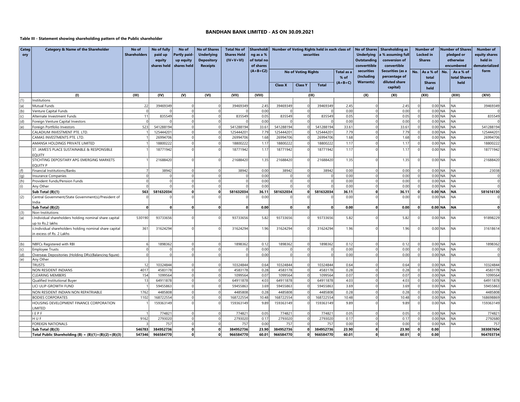#### Table III - Statement showing shareholding pattern of the Public shareholder

| Categ<br>ory | <b>Category &amp; Name of the Shareholder</b>                                        | No of<br><b>Shareholders</b> | No of fully<br>paid up<br>equity<br>shares held | No of<br><b>Partly paid-</b><br>up equity<br>shares held | <b>No of Shares</b><br><b>Underlying</b><br><b>Depository</b><br><b>Receipts</b> | <b>Total No of</b><br><b>Shares Held</b><br>$(IV+V+VI)$ | Shareholdi<br>ng as a %<br>of total no<br>of shares<br>$(A+B+C2)$ | Number of Voting Rights held in each class of<br>securities<br><b>No of Voting Rights</b><br>Total as a<br>% of |                |              | No of Shares   Shareholding as<br><b>Underlying</b><br>% assuming full<br><b>Outstanding</b><br>conversion of<br>converttible<br>convertible<br>securities<br>Securities (as a<br>(Including<br>percentage of |                          | No.                       | <b>Number of</b><br><b>Locked</b> in<br><b>Shares</b><br>As a % of<br>total | <b>Number of Shares</b><br>pledged or<br>otherwise<br>encumbered<br>No.<br>As a % of<br>total Shares |                        | <b>Number of</b><br>equity shares<br>held in<br>dematerialized<br>form |              |
|--------------|--------------------------------------------------------------------------------------|------------------------------|-------------------------------------------------|----------------------------------------------------------|----------------------------------------------------------------------------------|---------------------------------------------------------|-------------------------------------------------------------------|-----------------------------------------------------------------------------------------------------------------|----------------|--------------|---------------------------------------------------------------------------------------------------------------------------------------------------------------------------------------------------------------|--------------------------|---------------------------|-----------------------------------------------------------------------------|------------------------------------------------------------------------------------------------------|------------------------|------------------------------------------------------------------------|--------------|
|              |                                                                                      |                              |                                                 |                                                          |                                                                                  |                                                         |                                                                   | <b>Class X</b>                                                                                                  | <b>Class Y</b> | <b>Total</b> | $(A+B+C)$                                                                                                                                                                                                     | <b>Warrants)</b>         | diluted share<br>capital) |                                                                             | <b>Shares</b><br>held                                                                                |                        | held                                                                   |              |
|              | (1)                                                                                  | (III)                        | (IV)                                            | (V)                                                      | (VI)                                                                             | (VII)                                                   | (VIII)                                                            |                                                                                                                 |                | (IX)         |                                                                                                                                                                                                               | (X)                      | (XI)                      |                                                                             | (XII)                                                                                                |                        | (XIII)                                                                 | (XIV)        |
| (1)          | Institutions                                                                         |                              |                                                 |                                                          |                                                                                  |                                                         |                                                                   |                                                                                                                 |                |              |                                                                                                                                                                                                               |                          |                           |                                                                             |                                                                                                      |                        |                                                                        |              |
| (a)          | Mutual Funds                                                                         | 22                           | 39469349                                        | $\Omega$                                                 | $\Omega$                                                                         | 39469349                                                | 2.45                                                              | 39469349                                                                                                        |                | 39469349     | 2.45                                                                                                                                                                                                          | $\Omega$                 | 2.45                      | $\mathbf 0$                                                                 |                                                                                                      | $0.00$ NA              | <b>NA</b>                                                              | 39469349     |
| (b)          | Venture Capital Funds                                                                |                              |                                                 |                                                          | $\Omega$                                                                         |                                                         | 0.00                                                              |                                                                                                                 |                |              | 0.00                                                                                                                                                                                                          | $\Omega$                 | 0.00                      | 0                                                                           | $0.00$ NA                                                                                            |                        | <b>NA</b>                                                              |              |
| (c)          | Alternate Investment Funds                                                           | 11                           | 835549                                          | $\Omega$                                                 | $\circ$                                                                          | 835549                                                  | 0.05                                                              | 835549                                                                                                          |                | 835549       | 0.05                                                                                                                                                                                                          | $\circ$                  | 0.05                      | 0                                                                           |                                                                                                      | $0.00$ NA              | NA                                                                     | 835549       |
| (d)          | Foreign Venture Capital Investors                                                    | $\Omega$                     |                                                 | $\Omega$                                                 | $\Omega$                                                                         |                                                         | 0.00                                                              |                                                                                                                 |                |              | 0.00                                                                                                                                                                                                          | $\Omega$                 | 0.00                      | 0                                                                           |                                                                                                      | $0.00$ <sub>NA</sub>   | <b>NA</b>                                                              |              |
| (e)          | Foreign Portfolio Investors                                                          | 523                          | 541288194                                       | $\Omega$                                                 | $\Omega$                                                                         | 541288194                                               | 33.61                                                             | 541288194                                                                                                       |                | 541288194    | 33.61                                                                                                                                                                                                         | $\Omega$                 | 33.61                     | 0                                                                           | $0.00$ NA                                                                                            |                        | <b>NA</b>                                                              | 541288194    |
|              | CALADIUM INVESTMENT PTE. LTD                                                         |                              | 12544420                                        | $\Omega$                                                 | $\Omega$                                                                         | 125444201                                               | 7.79                                                              | 12544420                                                                                                        |                | 125444201    | 7.79                                                                                                                                                                                                          | $\Omega$                 | 7.79                      | 0                                                                           |                                                                                                      | $0.00$ NA              | <b>NA</b>                                                              | 125444201    |
|              | CAMAS INVESTMENTS PTE. LTD.                                                          |                              | 26994706                                        | $\Omega$                                                 | $\Omega$                                                                         | 26994706                                                | 1.68                                                              | 26994706                                                                                                        |                | 26994706     | 1.68                                                                                                                                                                                                          | $\Omega$                 | 1.68                      | 0                                                                           |                                                                                                      | $0.00$ NA              | <b>NA</b>                                                              | 26994706     |
|              | AMANSA HOLDINGS PRIVATE LIMITED                                                      |                              | 18800222                                        | $\Omega$                                                 | $\Omega$                                                                         | 18800222                                                | 1.17                                                              | 18800222                                                                                                        |                | 18800222     | 1.17                                                                                                                                                                                                          | $\Omega$                 | 1.17                      | 0                                                                           |                                                                                                      | $0.00$ NA              | <b>NA</b>                                                              | 18800222     |
|              | ST. JAMES'S PLACE SUSTAINABLE & RESPONSIBLE<br>EQUITY                                |                              | 18771942                                        | $\Omega$                                                 | $\Omega$                                                                         | 18771942                                                | 1.17                                                              | 18771942                                                                                                        |                | 18771942     | 1.17                                                                                                                                                                                                          | $\Omega$                 | 1.17                      | $\Omega$                                                                    |                                                                                                      | $0.00$ NA              | <b>NA</b>                                                              | 18771942     |
|              | STICHTING DEPOSITARY APG EMERGING MARKETS<br><b>EOUITY P</b>                         |                              | 21688420                                        | $\Omega$                                                 |                                                                                  | 21688420                                                | 1.35                                                              | 21688420                                                                                                        |                | 21688420     | 1.35                                                                                                                                                                                                          | $\Omega$                 | 1.35                      | $\Omega$                                                                    |                                                                                                      | $0.00$ NA              | <b>NA</b>                                                              | 21688420     |
| (f)          | Financial Institutions/Banks                                                         |                              | 38942                                           | $\Omega$                                                 | $\Omega$                                                                         | 38942                                                   | 0.00                                                              | 38942                                                                                                           |                | 38942        | 0.00                                                                                                                                                                                                          | $\Omega$                 | 0.00                      | $\mathbf 0$                                                                 |                                                                                                      | $0.00$ NA              | NA                                                                     | 23038        |
| (q)          | Insurance Companies                                                                  |                              | $\Omega$                                        | $\Omega$                                                 | $\Omega$                                                                         | $\Omega$                                                | 0.00                                                              | $\Omega$                                                                                                        |                | $\Omega$     | 0.00                                                                                                                                                                                                          | $\Omega$                 | 0.00                      | 0                                                                           |                                                                                                      | $0.00$ NA              | <b>NA</b>                                                              | 0            |
| (h)          | Provident Funds/Pension Funds                                                        |                              | $\Omega$                                        | $\Omega$                                                 | $\Omega$                                                                         | $\Omega$                                                | 0.00                                                              | $\Omega$                                                                                                        |                | $\Omega$     | 0.00                                                                                                                                                                                                          | $\Omega$                 | 0.00                      | 0                                                                           |                                                                                                      | $0.00$ NA              | <b>NA</b>                                                              | <sup>o</sup> |
| (i)          | Any Other                                                                            |                              |                                                 | $\Omega$                                                 | $\circ$                                                                          | $\Omega$                                                | 0.00                                                              | $\Omega$                                                                                                        |                | $\Omega$     | 0.00                                                                                                                                                                                                          | $\Omega$                 | 0.00                      | 0                                                                           |                                                                                                      | $0.00$ NA              | NA                                                                     | 0            |
|              | Sub Total (B)(1)                                                                     | 563                          | 581632034                                       | $\Omega$                                                 | $\Omega$                                                                         | 581632034                                               | 36.11                                                             | 581632034                                                                                                       | $\Omega$       | 581632034    | 36.11                                                                                                                                                                                                         | $\Omega$                 | 36.11                     | 0                                                                           |                                                                                                      | $0.00$ NA              | <b>NA</b>                                                              | 581616130    |
| (2)          | Central Government/State Government(s)/President of<br>India                         |                              |                                                 |                                                          |                                                                                  |                                                         | 0.00                                                              |                                                                                                                 |                |              | 0.00                                                                                                                                                                                                          |                          | 0.00                      | $\mathbf{0}$                                                                |                                                                                                      | $0.00$ NA              | <b>NA</b>                                                              |              |
|              | Sub Total (B)(2)                                                                     | $\mathbf{0}$                 | 0                                               | $\mathbf{0}$                                             | $\mathbf{0}$                                                                     | $\mathbf{0}$                                            | 0.00                                                              | $\mathbf{0}$                                                                                                    | $\mathbf{0}$   | 0            | 0.00                                                                                                                                                                                                          | $\mathbf{0}$             | 0.00                      | 0                                                                           |                                                                                                      | $0.00$ NA              | NA                                                                     | 0            |
| (3)          | Non-Institutions                                                                     |                              |                                                 |                                                          |                                                                                  |                                                         |                                                                   |                                                                                                                 |                |              |                                                                                                                                                                                                               |                          |                           |                                                                             |                                                                                                      |                        |                                                                        |              |
| (a)          | i.Individual shareholders holding nominal share capital<br>up to Rs.2 lakhs          | 530190                       | 93733656                                        |                                                          | $\Omega$                                                                         | 93733656                                                | 5.82                                                              | 93733656                                                                                                        |                | 93733656     | 5.82                                                                                                                                                                                                          | $\Omega$                 | 5.82                      |                                                                             |                                                                                                      | $0.00$ NA              | <b>NA</b>                                                              | 91898229     |
|              | ii.Individual shareholders holding nominal share capital<br>in excess of Rs. 2 Lakhs | 361                          | 31624294                                        | $\Omega$                                                 | $\Omega$                                                                         | 31624294                                                | 1.96                                                              | 31624294                                                                                                        |                | 31624294     | 1.96                                                                                                                                                                                                          | $\Omega$                 | 1.96                      | $\Omega$                                                                    |                                                                                                      | $0.00$ NA              | NA                                                                     | 31618614     |
|              |                                                                                      |                              |                                                 |                                                          |                                                                                  |                                                         |                                                                   |                                                                                                                 |                |              |                                                                                                                                                                                                               |                          |                           |                                                                             |                                                                                                      |                        |                                                                        |              |
| (b)          | NBFCs Registered with RBI                                                            | 6                            | 1898362                                         | $\Omega$                                                 | $\Omega$                                                                         | 1898362                                                 | 0.12                                                              | 1898362                                                                                                         |                | 1898362      | 0.12                                                                                                                                                                                                          | $\Omega$                 | 0.12                      | $\mathbf 0$                                                                 |                                                                                                      | $0.00$ NA              | <b>NA</b>                                                              | 1898362      |
| (c)          | <b>Employee Trusts</b>                                                               |                              |                                                 | $\Omega$                                                 | $\Omega$                                                                         |                                                         | 0.00                                                              |                                                                                                                 |                |              | 0.00                                                                                                                                                                                                          | $\Omega$                 | 0.00                      | 0                                                                           |                                                                                                      | $0.00$ NA              | <b>NA</b>                                                              | 0            |
| (d)          | Overseas Depositories (Holding DRs)(Balancing figure)                                |                              |                                                 | $\Omega$                                                 | $\Omega$                                                                         | $\Omega$                                                | 0.00                                                              | $\Omega$                                                                                                        |                | $\Omega$     | 0.00                                                                                                                                                                                                          | $\cap$                   | 0.00                      | 0                                                                           |                                                                                                      | $0.00$ NA              | <b>NA</b>                                                              | 0            |
| (e)          | Any Other                                                                            |                              |                                                 |                                                          |                                                                                  |                                                         |                                                                   |                                                                                                                 |                |              |                                                                                                                                                                                                               |                          |                           |                                                                             |                                                                                                      |                        |                                                                        |              |
|              | <b>TRUSTS</b>                                                                        | 12                           | 10324844                                        | $\Omega$<br>$\Omega$                                     | $\Omega$                                                                         | 10324844                                                | 0.64                                                              | 10324844                                                                                                        | $\Omega$       | 10324844     | 0.64                                                                                                                                                                                                          | $\Omega$<br>$\Omega$     | 0.64                      | $\Omega$                                                                    | $0.00$ NA                                                                                            |                        | <b>NA</b>                                                              | 10324844     |
|              | NON RESIDENT INDIANS                                                                 | 4017                         | 4583178                                         | $\Omega$                                                 | $\circ$<br>$\circ$                                                               | 4583178                                                 | 0.28                                                              | 4583178<br>1099564                                                                                              |                | 4583178      | 0.28<br>0.07                                                                                                                                                                                                  | $\Omega$                 | 0.28                      | 0                                                                           |                                                                                                      | $0.00$ NA<br>$0.00$ NA | <b>NA</b>                                                              | 4583178      |
|              | CLEARING MEMBERS                                                                     | 154<br>13                    | 1099564                                         | $\Omega$                                                 | $\Omega$                                                                         | 1099564                                                 | 0.07                                                              |                                                                                                                 |                | 1099564      | 4.03                                                                                                                                                                                                          | $\Omega$                 | 0.07                      | 0 <br> 0                                                                    |                                                                                                      |                        | NA<br><b>NA</b>                                                        | 1099564      |
|              | Qualified Institutional Buyer                                                        |                              | 64911878                                        | $\Omega$                                                 | $\Omega$                                                                         | 64911878                                                | 4.03                                                              | 64911878                                                                                                        |                | 64911878     |                                                                                                                                                                                                               | $\Omega$                 | 4.03                      |                                                                             |                                                                                                      | $0.00$ NA              |                                                                        | 64911878     |
|              | LICI ULIP-GROWTH FUND                                                                |                              | 59455863                                        |                                                          |                                                                                  | 59455863                                                | 3.69                                                              | 59455863                                                                                                        |                | 59455863     | 3.69                                                                                                                                                                                                          |                          | 3.69                      | 0                                                                           |                                                                                                      | $0.00$ NA              | NA                                                                     | 59455863     |
|              | NON RESIDENT INDIAN NON REPATRIABLE                                                  | 1762                         | 4485808                                         | $\Omega$                                                 |                                                                                  | 4485808                                                 | 0.28                                                              | 4485808                                                                                                         |                | 4485808      | 0.28                                                                                                                                                                                                          |                          | 0.28                      | $\Omega$                                                                    | $0.00$ NA                                                                                            |                        | <b>NA</b>                                                              | 4485808      |
|              | <b>BODIES CORPORATES</b>                                                             | 1102                         | 168722554                                       | $\Omega$                                                 | $\Omega$                                                                         | 168722554                                               | 10.48                                                             | 168722554                                                                                                       |                | 168722554    | 10.48                                                                                                                                                                                                         | $\Omega$                 | 10.48                     | 0                                                                           |                                                                                                      | $0.00$ NA              | <b>NA</b>                                                              | 168698869    |
|              | HOUSING DEVELOPMENT FINANCE CORPORATION<br>LIMITED                                   |                              | 159363149                                       | $\Omega$                                                 |                                                                                  | 159363149                                               | 9.89                                                              | 159363149                                                                                                       |                | 159363149    | 9.89                                                                                                                                                                                                          | $\Omega$                 | 9.89                      | 0                                                                           |                                                                                                      | $0.00$ NA              | <b>NA</b>                                                              | 159363149    |
|              | EPF                                                                                  |                              | 77482                                           | $\Omega$                                                 | $\circ$                                                                          | 774821                                                  | 0.05                                                              | 774821                                                                                                          |                | 77482        | 0.05                                                                                                                                                                                                          | $\Omega$                 | 0.05                      | $\mathbf 0$                                                                 |                                                                                                      | $0.00$ NA              | <b>NA</b>                                                              | 774821       |
|              | HUF                                                                                  | 9162                         | 2793020                                         | $\Omega$                                                 | $\overline{0}$                                                                   | 2793020                                                 | 0.17                                                              | 2793020                                                                                                         | $\Omega$       | 2793020      | 0.17                                                                                                                                                                                                          | $\Omega$                 | 0.17                      | 0                                                                           |                                                                                                      | $0.00$ NA              | NA                                                                     | 2792680      |
|              | FOREIGN NATIONALS                                                                    |                              | 757                                             | $\Omega$                                                 | $\Omega$                                                                         | 757                                                     | 0.00                                                              | 757                                                                                                             |                | 757          | 0.00                                                                                                                                                                                                          | $\Omega$                 | 0.00                      | $\Omega$                                                                    |                                                                                                      | $0.00$ NA              | <b>NA</b>                                                              | 757          |
|              | Sub Total (B)(3)                                                                     | 546783                       | 384952736                                       | $\mathbf{0}$<br>$\Omega$                                 | $\mathbf{0}$                                                                     | 384952736                                               | 23.90                                                             | 384952736                                                                                                       |                | 384952736    | 23.90                                                                                                                                                                                                         | $\mathbf{0}$<br>$\Omega$ | 23.90                     | 0                                                                           | 0.00                                                                                                 |                        |                                                                        | 383087604    |
|              | Total Public Shareholding (B) = $(B)(1)+(B)(2)+(B)(3)$                               | 547346                       | 966584770                                       |                                                          | $\mathbf{0}$                                                                     | 966584770                                               | 60.01                                                             | 966584770                                                                                                       | $\Omega$       | 966584770    | 60.01                                                                                                                                                                                                         |                          | 60.01                     | 0                                                                           | 0.00                                                                                                 |                        |                                                                        | 964703734    |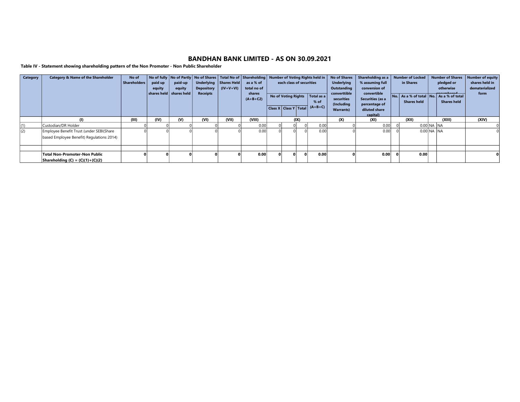Table IV - Statement showing shareholding pattern of the Non Promoter - Non Public Shareholder

| <b>Category</b> | <b>Category &amp; Name of the Shareholder</b> | No of<br>Shareholders | paid up | paid-up                               |                   | Underlying   Shares Held | No of fully   No of Partly   No of Shares   Total No of   Shareholding  <br>as a % of | each class of securities   |      | <b>Number of Voting Rights held in</b> | <b>No of Shares</b><br><b>Underlying</b> | Shareholding as a<br>% assuming full             |  | <b>Number of Locked</b><br>in Shares                          | <b>Number of Shares</b><br>pledged or | <b>Number of equity</b><br>shares held in |
|-----------------|-----------------------------------------------|-----------------------|---------|---------------------------------------|-------------------|--------------------------|---------------------------------------------------------------------------------------|----------------------------|------|----------------------------------------|------------------------------------------|--------------------------------------------------|--|---------------------------------------------------------------|---------------------------------------|-------------------------------------------|
|                 |                                               |                       | equity  | equity                                | <b>Depository</b> | $\vert$ (IV+V+VI)        | total no of                                                                           |                            |      |                                        | Outstanding                              | conversion of                                    |  |                                                               | otherwise                             | dematerialized                            |
|                 |                                               |                       |         | $\mid$ shares held $\mid$ shares held | <b>Receipts</b>   |                          | shares<br>$(A+B+C2)$                                                                  | <b>No of Voting Rights</b> |      | $\vert$ Total as a $\vert$<br>$%$ of   | converttible<br>securities<br>(Including | convertible<br>Securities (as a<br>percentage of |  | No. As a % of total No. As a % of total<br><b>Shares held</b> | <b>Shares held</b>                    | form                                      |
|                 |                                               |                       |         |                                       |                   |                          |                                                                                       |                            |      | Class X Class Y Total $(A+B+C)$        | <b>Warrants)</b>                         | diluted share                                    |  |                                                               |                                       |                                           |
|                 | (1)                                           | (III)                 | (IV)    | $\mathbf{w}$                          | (VI)              | (VII)                    | (VIII)                                                                                |                            | (IX) |                                        | (X)                                      | capital)<br>(XI)                                 |  | (XII)                                                         | (XIII)                                | (XIV)                                     |
| (1)             | Custodian/DR Holder                           |                       |         |                                       |                   |                          | 0.00                                                                                  |                            |      | 0.00                                   |                                          | 0.00                                             |  | 0.00 NA NA                                                    |                                       |                                           |
| (2)             | Employee Benefit Trust (under SEBI(Share      |                       |         |                                       |                   |                          | 0.00                                                                                  |                            |      | 0.00                                   |                                          | 0.00                                             |  | 0.00 NA INA                                                   |                                       |                                           |
|                 | based Employee Benefit) Regulations 2014)     |                       |         |                                       |                   |                          |                                                                                       |                            |      |                                        |                                          |                                                  |  |                                                               |                                       |                                           |
|                 |                                               |                       |         |                                       |                   |                          |                                                                                       |                            |      |                                        |                                          |                                                  |  |                                                               |                                       |                                           |
|                 | <b>Total Non-Promoter-Non Public</b>          |                       |         |                                       |                   |                          | 0.00                                                                                  | $\mathbf{0}$               |      | 0.00                                   |                                          | 0.00                                             |  | 0.00                                                          |                                       |                                           |
|                 | Shareholding $(C) = (C)(1)+(C)(2)$            |                       |         |                                       |                   |                          |                                                                                       |                            |      |                                        |                                          |                                                  |  |                                                               |                                       |                                           |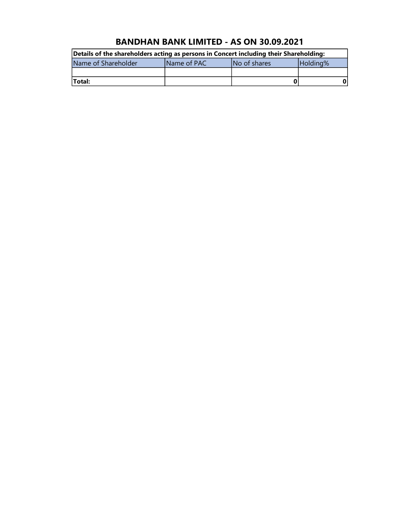| Details of the shareholders acting as persons in Concert including their Shareholding: |                     |              |          |  |  |  |  |  |  |
|----------------------------------------------------------------------------------------|---------------------|--------------|----------|--|--|--|--|--|--|
| Name of Shareholder                                                                    | <b>IName of PAC</b> | No of shares | Holding% |  |  |  |  |  |  |
|                                                                                        |                     |              |          |  |  |  |  |  |  |
| <b>Total:</b>                                                                          |                     |              |          |  |  |  |  |  |  |